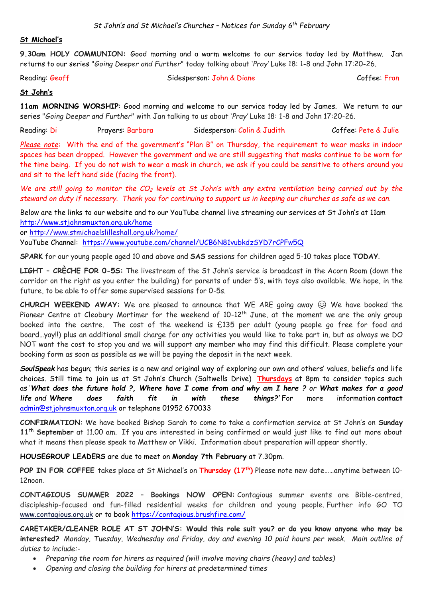#### **St Michael's**

**9.30am HOLY COMMUNION:** Good morning and a warm welcome to our service today led by Matthew. Jan returns to our series "*Going Deeper and Further*" today talking about '*Pray'* Luke 18: 1-8 and John 17:20-26.

Reading: Geoff Sidesperson: John & Diane Coffee: Fran

# **St John's**

**11am MORNING WORSHIP**: Good morning and welcome to our service today led by James. We return to our series "*Going Deeper and Further*" with Jan talking to us about '*Pray'* Luke 18: 1-8 and John 17:20-26.

Reading: Di Prayers: Barbara Sidesperson: Colin & Judith Coffee: Pete & Julie

*Please note:* With the end of the government's "Plan B" on Thursday, the requirement to wear masks in indoor spaces has been dropped. However the government and we are still suggesting that masks continue to be worn for the time being. If you do not wish to wear a mask in church, we ask if you could be sensitive to others around you and sit to the left hand side (facing the front).

*We are still going to monitor the CO<sup>2</sup> levels at St John's with any extra ventilation being carried out by the steward on duty if necessary. Thank you for continuing to support us in keeping our churches as safe as we can.* 

Below are the links to our website and to our YouTube channel live streaming our services at St John's at 11am <http://www.stjohnsmuxton.org.uk/home>

or<http://www.stmichaelslilleshall.org.uk/home/>

YouTube Channel: <https://www.youtube.com/channel/UCB6N81vubkdzSYD7rCPFw5Q>

**SPARK** for our young people aged 10 and above and **SAS** sessions for children aged 5-10 takes place **TODAY**.

**LIGHT – CRÈCHE FOR 0-5S:** The livestream of the St John's service is broadcast in the Acorn Room (down the corridor on the right as you enter the building) for parents of under 5's, with toys also available. We hope, in the future, to be able to offer some supervised sessions for 0-5s.

CHURCH WEEKEND AWAY: We are pleased to announce that WE ARE going away  $\circledcirc$  We have booked the Pioneer Centre at Cleobury Mortimer for the weekend of 10-12<sup>th</sup> June, at the moment we are the only group booked into the centre. The cost of the weekend is £135 per adult (young people go free for food and board…yay!!) plus an additional small charge for any activities you would like to take part in, but as always we DO NOT want the cost to stop you and we will support any member who may find this difficult. Please complete your booking form as soon as possible as we will be paying the deposit in the next week.

*SoulSpeak* has begun; this series is a new and original way of exploring our own and others' values, beliefs and life choices. Still time to join us at St John's Church (Saltwells Drive) **Thursdays** at 8pm to consider topics such as '*What does the future hold ?, Where have I come from and why am I here ? or What makes for a good life and Where does faith fit in with these things?'* For more information **contact**  [admin@stjohnsmuxton.org.uk](mailto:admin@stjohnsmuxton.org.uk) or telephone 01952 670033

**CONFIRMATION**: We have booked Bishop Sarah to come to take a confirmation service at St John's on **Sunday 11th September** at 11.00 am. If you are interested in being confirmed or would just like to find out more about what it means then please speak to Matthew or Vikki. Information about preparation will appear shortly.

**HOUSEGROUP LEADERS** are due to meet on **Monday 7th February** at 7.30pm.

**POP IN FOR COFFEE** takes place at St Michael's on **Thursday (17 th)** Please note new date……anytime between 10- 12noon.

**CONTAGIOUS SUMMER 2022 – Bookings NOW OPEN:** Contagious summer events are Bible-centred, discipleship-focused and fun-filled residential weeks for children and young people. Further info GO TO [www.contagious.org.uk](http://www.contagious.org.uk/) or to book<https://contagious.brushfire.com/>

**CARETAKER/CLEANER ROLE AT ST JOHN'S: Would this role suit you? or do you know anyone who may be interested?** *Monday, Tuesday, Wednesday and Friday, day and evening 10 paid hours per week. Main outline of duties to include:-*

- *Preparing the room for hirers as required (will involve moving chairs (heavy) and tables)*
- *Opening and closing the building for hirers at predetermined times*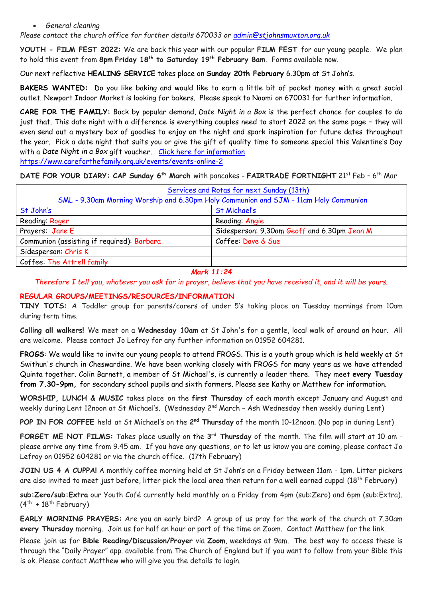#### • *General cleaning*

*Please contact the church office for further details 670033 or [admin@stjohnsmuxton.org.uk](mailto:admin@stjohnsmuxton.org.uk)*

**YOUTH - FILM FEST 2022:** We are back this year with our popular **FILM FEST** for our young people. We plan to hold this event from **8pm Friday 18th to Saturday 19th February 8am**. Forms available now.

Our next reflective **HEALING SERVICE** takes place on **Sunday 20th February** 6.30pm at St John's.

**BAKERS WANTED:** Do you like baking and would like to earn a little bit of pocket money with a great social outlet. Newport Indoor Market is looking for bakers. Please speak to Naomi on 670031 for further information.

**CARE FOR THE FAMILY:** Back by popular demand, *Date Night in a Box* is the perfect chance for couples to do just that. This date night with a difference is everything couples need to start 2022 on the same page – they will even send out a mystery box of goodies to enjoy on the night and spark inspiration for future dates throughout the year. Pick a date night that suits you or give the gift of quality time to someone special this Valentine's Day with a *Date Night in a Box* gift voucher. [Click here for information](https://www.careforthefamily.org.uk/events/events-online-2/date-night-in-a-box?utm_source=DNIAB_EM1&utm_medium=DNIAB_EM1&utm_campaign=DNIAB_EM1 ) <https://www.careforthefamily.org.uk/events/events-online-2>

**DATE FOR YOUR DIARY: CAP Sunday 6th March** with pancakes - **FAIRTRADE FORTNIGHT** 21st Feb – 6 th Mar

| <b>Services and Rotas for next Sunday (13th)</b>                                     |                                             |
|--------------------------------------------------------------------------------------|---------------------------------------------|
| SML - 9.30am Morning Worship and 6.30pm Holy Communion and SJM - 11am Holy Communion |                                             |
| St John's                                                                            | St Michael's                                |
| Reading: Roger                                                                       | Reading: Angie                              |
| Prayers: Jane E                                                                      | Sidesperson: 9.30am Geoff and 6.30pm Jean M |
| Communion (assisting if required): Barbara                                           | Coffee: Dave & Sue                          |
| Sidesperson: Chris K                                                                 |                                             |
| Coffee: The Attrell family                                                           |                                             |

## *Mark 11:24*

*Therefore I tell you, whatever you ask for in prayer, believe that you have received it, and it will be yours.*

# **REGULAR GROUPS/MEETINGS/RESOURCES/INFORMATION**

**TINY TOTS:** A Toddler group for parents/carers of under 5's taking place on Tuesday mornings from 10am during term time.

**Calling all walkers!** We meet on a **Wednesday 10am** at St John's for a gentle, local walk of around an hour. All are welcome. Please contact Jo Lefroy for any further information on 01952 604281.

**FROGS**: We would like to invite our young people to attend FROGS. This is a youth group which is held weekly at St Swithun's church in Cheswardine. We have been working closely with FROGS for many years as we have attended Quinta together. Colin Barnett, a member of St Michael's, is currently a leader there. They meet **every Tuesday from 7.30-9pm,** for secondary school pupils and sixth formers. Please see Kathy or Matthew for information.

**WORSHIP, LUNCH & MUSIC** takes place on the **first Thursday** of each month except January and August and weekly during Lent 12noon at St Michael's. (Wednesday 2<sup>nd</sup> March – Ash Wednesday then weekly during Lent)

POP IN FOR COFFEE held at St Michael's on the 2<sup>nd</sup> Thursday of the month 10-12noon. (No pop in during Lent)

**FORGET ME NOT FILMS:** Takes place usually on the **3 rd Thursday** of the month. The film will start at 10 am please arrive any time from 9.45 am. If you have any questions, or to let us know you are coming, please contact Jo Lefroy on 01952 604281 or via the church office. (17th February)

**JOIN US 4 A CUPPA!** A monthly coffee morning held at St John's on a Friday between 11am - 1pm. Litter pickers are also invited to meet just before, litter pick the local area then return for a well earned cuppa! (18<sup>th</sup> February)

**sub:Zero/sub:Extra** our Youth Café currently held monthly on a Friday from 4pm (sub:Zero) and 6pm (sub:Extra).  $(4^{\text{th}}$  + 18<sup>th</sup> February)

**EARLY MORNING PRAYERS:** Are you an early bird? A group of us pray for the work of the church at 7.30am **every Thursday** morning. Join us for half an hour or part of the time on Zoom. Contact Matthew for the link.

Please join us for **Bible Reading/Discussion/Prayer** via **Zoom**, weekdays at 9am. The best way to access these is through the "Daily Prayer" app. available from The Church of England but if you want to follow from your Bible this is ok. Please contact Matthew who will give you the details to login.